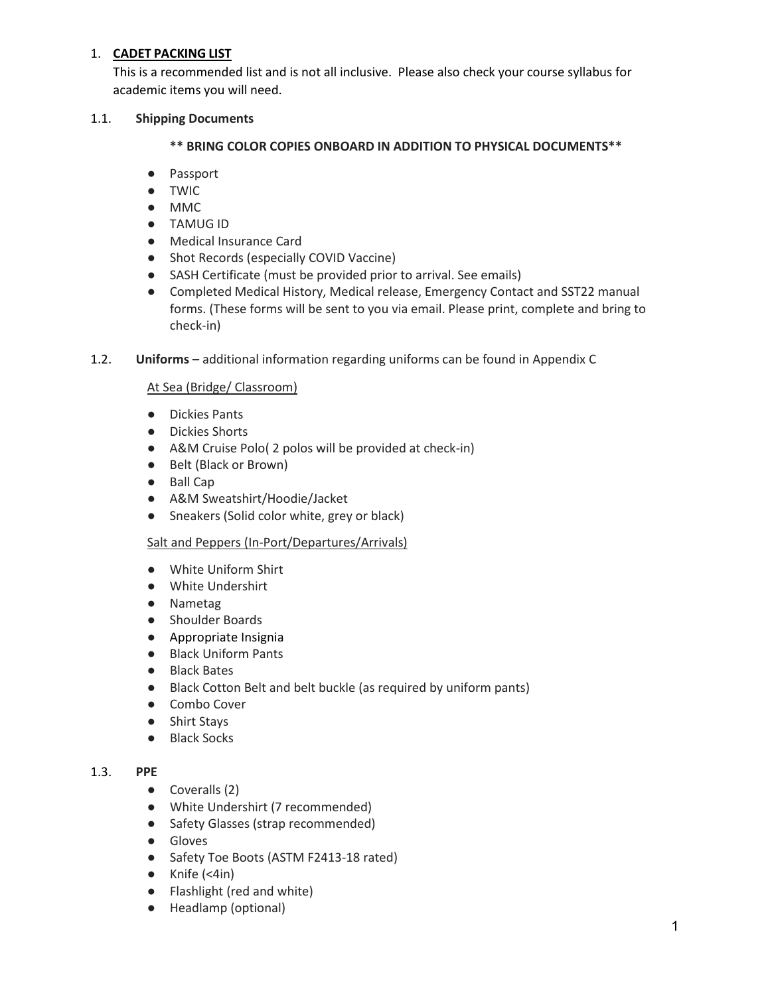### 1. **CADET PACKING LIST**

This is a recommended list and is not all inclusive. Please also check your course syllabus for academic items you will need.

### 1.1. **Shipping Documents**

### **\*\* BRING COLOR COPIES ONBOARD IN ADDITION TO PHYSICAL DOCUMENTS\*\***

- Passport
- TWIC
- MMC
- TAMUG ID
- Medical Insurance Card
- Shot Records (especially COVID Vaccine)
- SASH Certificate (must be provided prior to arrival. See emails)
- Completed Medical History, Medical release, Emergency Contact and SST22 manual forms. (These forms will be sent to you via email. Please print, complete and bring to check-in)
- 1.2. **Uniforms** additional information regarding uniforms can be found in Appendix C

### At Sea (Bridge/ Classroom)

- Dickies Pants
- Dickies Shorts
- A&M Cruise Polo( 2 polos will be provided at check-in)
- Belt (Black or Brown)
- Ball Cap
- A&M Sweatshirt/Hoodie/Jacket
- Sneakers (Solid color white, grey or black)

#### Salt and Peppers (In-Port/Departures/Arrivals)

- White Uniform Shirt
- White Undershirt
- Nametag
- Shoulder Boards
- Appropriate Insignia
- Black Uniform Pants
- Black Bates
- Black Cotton Belt and belt buckle (as required by uniform pants)
- Combo Cover
- Shirt Stays
- Black Socks

#### 1.3. **PPE**

- Coveralls (2)
- White Undershirt (7 recommended)
- Safety Glasses (strap recommended)
- Gloves
- Safety Toe Boots (ASTM F2413-18 rated)
- $\bullet$  Knife (<4in)
- Flashlight (red and white)
- Headlamp (optional)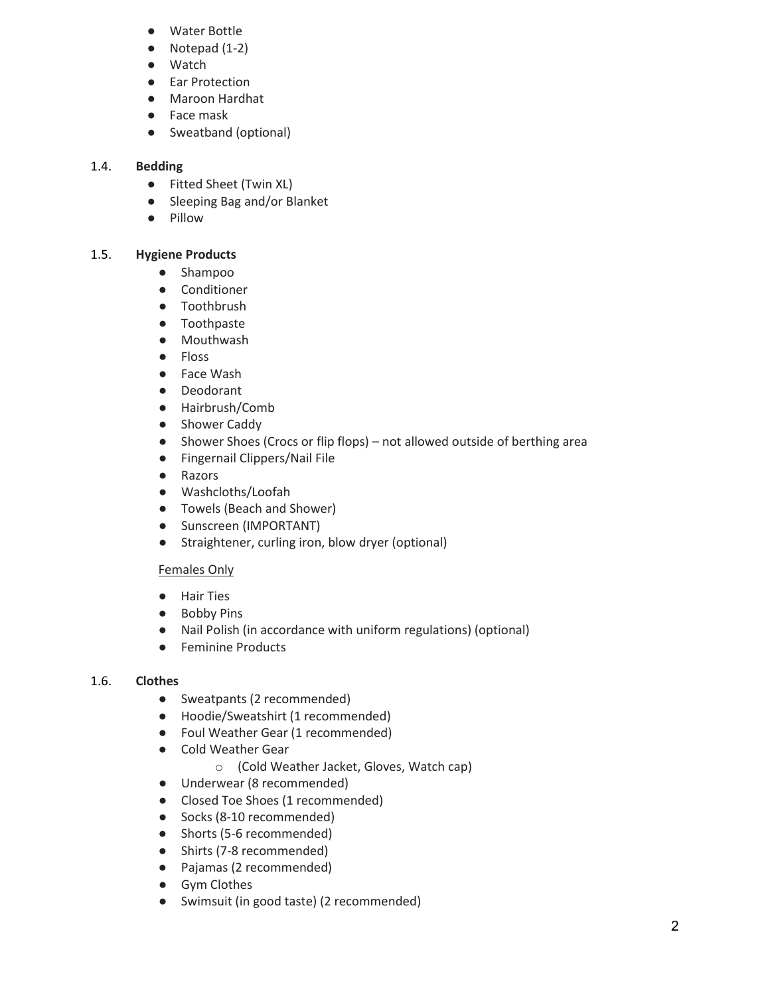- Water Bottle
- Notepad (1-2)
- **Watch**
- **Ear Protection**
- Maroon Hardhat
- Face mask
- Sweatband (optional)

# 1.4. **Bedding**

- Fitted Sheet (Twin XL)
- Sleeping Bag and/or Blanket
- Pillow

# 1.5. **Hygiene Products**

- Shampoo
- Conditioner
- Toothbrush
- Toothpaste
- Mouthwash
- Floss
- Face Wash
- Deodorant
- Hairbrush/Comb
- Shower Caddy
- Shower Shoes (Crocs or flip flops) not allowed outside of berthing area
- Fingernail Clippers/Nail File
- Razors
- Washcloths/Loofah
- Towels (Beach and Shower)
- Sunscreen (IMPORTANT)
- Straightener, curling iron, blow dryer (optional)

# Females Only

- Hair Ties
- Bobby Pins
- Nail Polish (in accordance with uniform regulations) (optional)
- Feminine Products

# 1.6. **Clothes**

- Sweatpants (2 recommended)
- Hoodie/Sweatshirt (1 recommended)
- Foul Weather Gear (1 recommended)
- Cold Weather Gear
	- o (Cold Weather Jacket, Gloves, Watch cap)
- Underwear (8 recommended)
- Closed Toe Shoes (1 recommended)
- Socks (8-10 recommended)
- Shorts (5-6 recommended)
- Shirts (7-8 recommended)
- Pajamas (2 recommended)
- Gym Clothes
- Swimsuit (in good taste) (2 recommended)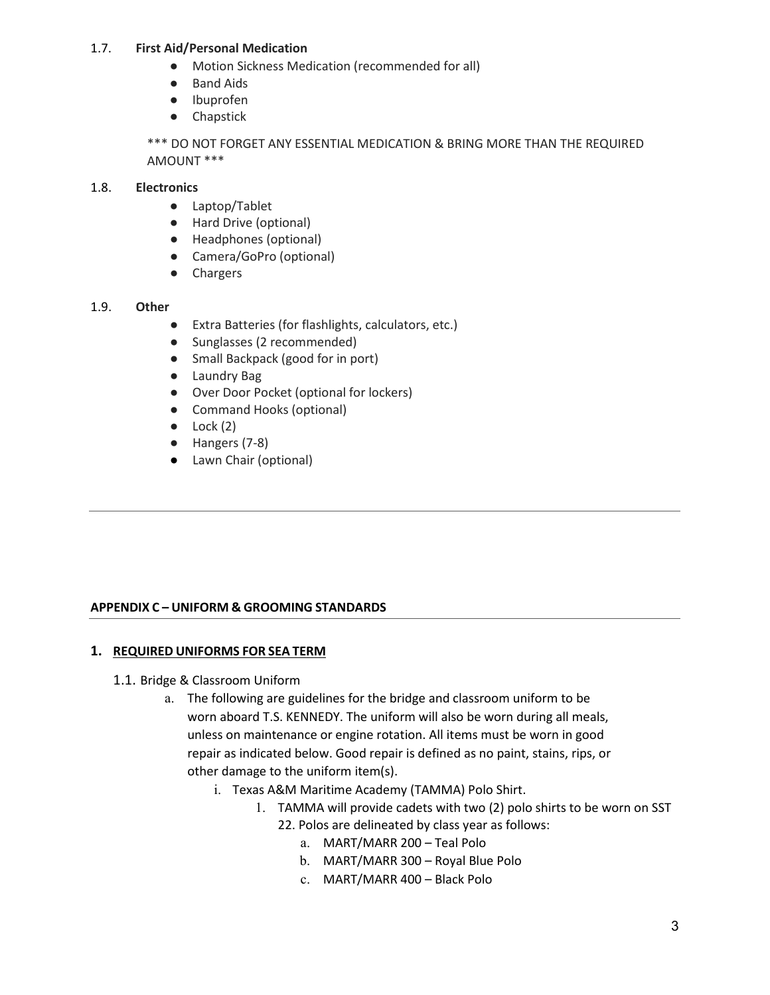### 1.7. **First Aid/Personal Medication**

- Motion Sickness Medication (recommended for all)
- Band Aids
- Ibuprofen
- Chapstick

\*\*\* DO NOT FORGET ANY ESSENTIAL MEDICATION & BRING MORE THAN THE REQUIRED AMOUNT \*\*\*

### 1.8. **Electronics**

- Laptop/Tablet
- Hard Drive (optional)
- Headphones (optional)
- Camera/GoPro (optional)
- Chargers

#### 1.9. **Other**

- Extra Batteries (for flashlights, calculators, etc.)
- Sunglasses (2 recommended)
- Small Backpack (good for in port)
- Laundry Bag
- Over Door Pocket (optional for lockers)
- Command Hooks (optional)
- $\bullet$  Lock (2)
- Hangers (7-8)
- Lawn Chair (optional)

## **APPENDIX C – UNIFORM & GROOMING STANDARDS**

## **1. REQUIRED UNIFORMS FOR SEA TERM**

- 1.1. Bridge & Classroom Uniform
	- a. The following are guidelines for the bridge and classroom uniform to be worn aboard T.S. KENNEDY. The uniform will also be worn during all meals, unless on maintenance or engine rotation. All items must be worn in good repair as indicated below. Good repair is defined as no paint, stains, rips, or other damage to the uniform item(s).
		- i. Texas A&M Maritime Academy (TAMMA) Polo Shirt.
			- 1. TAMMA will provide cadets with two (2) polo shirts to be worn on SST
				- 22. Polos are delineated by class year as follows:
					- a. MART/MARR 200 Teal Polo
					- b. MART/MARR 300 Royal Blue Polo
					- c. MART/MARR 400 Black Polo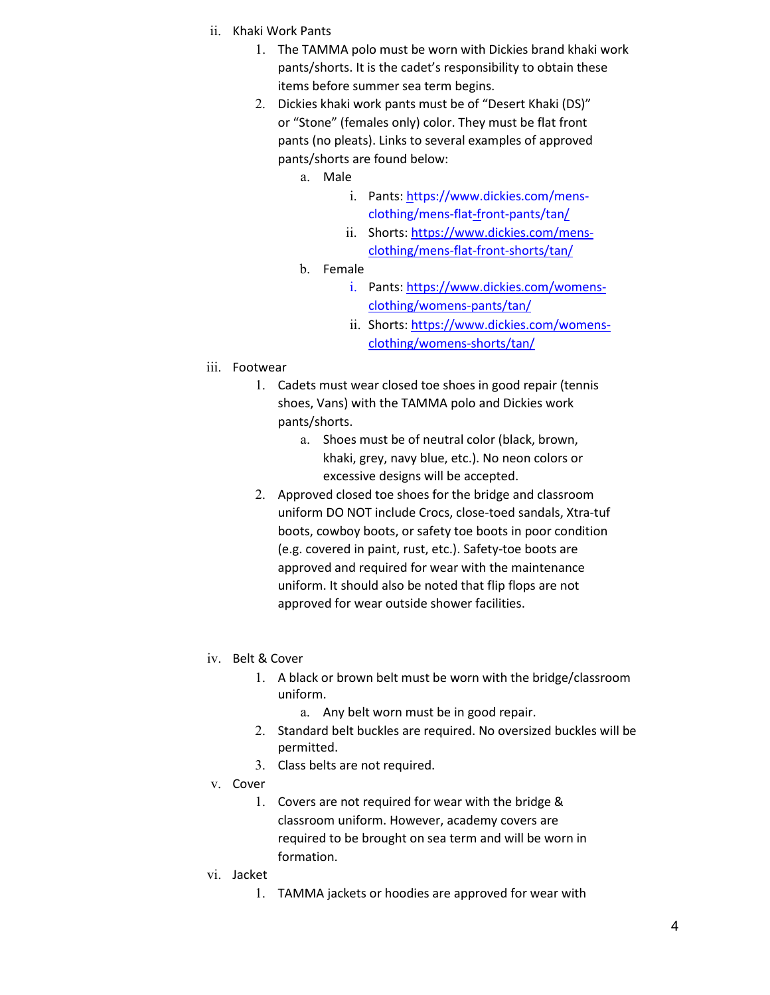- ii. Khaki Work Pants
	- 1. The TAMMA polo must be worn with Dickies brand khaki work pants/shorts. It is the cadet's responsibility to obtain these items before summer sea term begins.
	- 2. Dickies khaki work pants must be of "Desert Khaki (DS)" or "Stone" (females only) color. They must be flat front pants (no pleats). Links to several examples of approved pants/shorts are found below:
		- a. Male
			- i. Pants: [https://www.dickies.com/mens](https://www.dickies.com/mens-clothing/mens-flat-front-pants/tan/)[clothing/mens-flat-front-pants/tan/](https://www.dickies.com/mens-clothing/mens-flat-front-pants/tan/)
			- ii. Shorts: [https://www.dickies.com/mens](https://www.dickies.com/mens-clothing/mens-flat-front-shorts/tan/)[clothing/mens-flat-front-shorts/tan/](https://www.dickies.com/mens-clothing/mens-flat-front-shorts/tan/)
		- b. Female
			- i. Pants: [https://www.dickies.com/womens](https://www.dickies.com/womens-clothing/womens-pants/tan/)[clothing/womens-pants/tan/](https://www.dickies.com/womens-clothing/womens-pants/tan/)
			- ii. Shorts: [https://www.dickies.com/womens](https://www.dickies.com/womens-clothing/womens-shorts/tan/)[clothing/womens-shorts/tan/](https://www.dickies.com/womens-clothing/womens-shorts/tan/)
- iii. Footwear
	- 1. Cadets must wear closed toe shoes in good repair (tennis shoes, Vans) with the TAMMA polo and Dickies work pants/shorts.
		- a. Shoes must be of neutral color (black, brown, khaki, grey, navy blue, etc.). No neon colors or excessive designs will be accepted.
	- 2. Approved closed toe shoes for the bridge and classroom uniform DO NOT include Crocs, close-toed sandals, Xtra-tuf boots, cowboy boots, or safety toe boots in poor condition (e.g. covered in paint, rust, etc.). Safety-toe boots are approved and required for wear with the maintenance uniform. It should also be noted that flip flops are not approved for wear outside shower facilities.
- iv. Belt & Cover
	- 1. A black or brown belt must be worn with the bridge/classroom uniform.
		- a. Any belt worn must be in good repair.
	- 2. Standard belt buckles are required. No oversized buckles will be permitted.
	- 3. Class belts are not required.
- v. Cover
	- 1. Covers are not required for wear with the bridge & classroom uniform. However, academy covers are required to be brought on sea term and will be worn in formation.
- vi. Jacket
	- 1. TAMMA jackets or hoodies are approved for wear with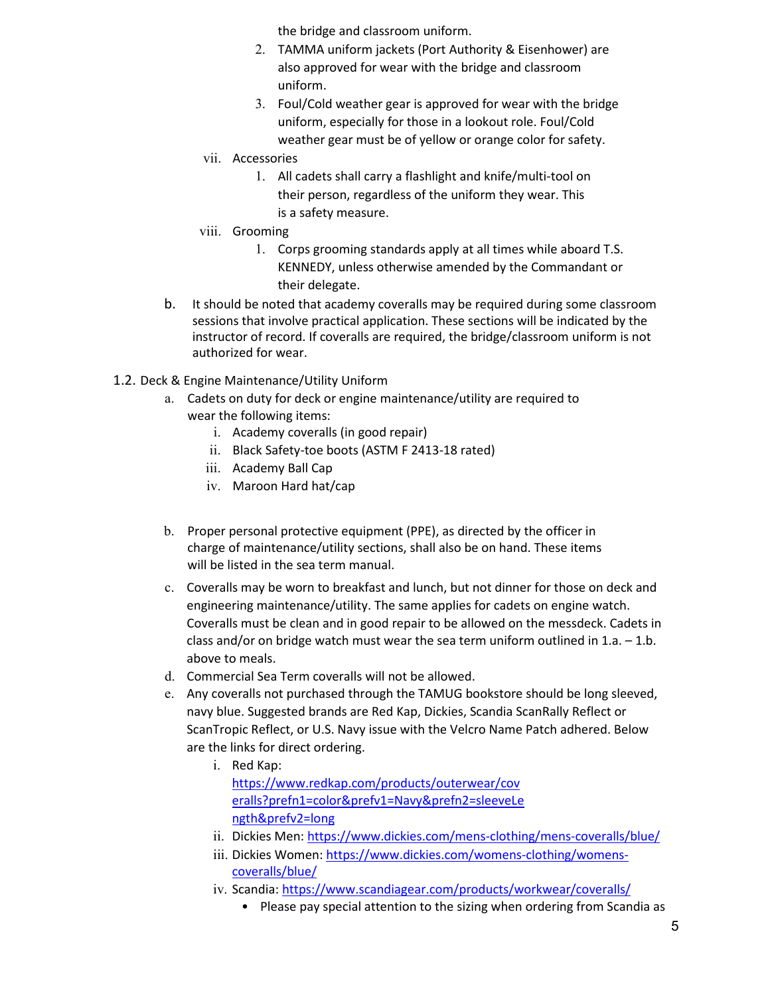the bridge and classroom uniform.

- 2. TAMMA uniform jackets (Port Authority & Eisenhower) are also approved for wear with the bridge and classroom uniform.
- 3. Foul/Cold weather gear is approved for wear with the bridge uniform, especially for those in a lookout role. Foul/Cold weather gear must be of yellow or orange color for safety.
- vii. Accessories
	- 1. All cadets shall carry a flashlight and knife/multi-tool on their person, regardless of the uniform they wear. This is a safety measure.
- viii. Grooming
	- 1. Corps grooming standards apply at all times while aboard T.S. KENNEDY, unless otherwise amended by the Commandant or their delegate.
- b. It should be noted that academy coveralls may be required during some classroom sessions that involve practical application. These sections will be indicated by the instructor of record. If coveralls are required, the bridge/classroom uniform is not authorized for wear.
- 1.2. Deck & Engine Maintenance/Utility Uniform
	- a. Cadets on duty for deck or engine maintenance/utility are required to wear the following items:
		- i. Academy coveralls (in good repair)
		- ii. Black Safety-toe boots (ASTM F 2413-18 rated)
		- iii. Academy Ball Cap
		- iv. Maroon Hard hat/cap
	- b. Proper personal protective equipment (PPE), as directed by the officer in charge of maintenance/utility sections, shall also be on hand. These items will be listed in the sea term manual.
	- c. Coveralls may be worn to breakfast and lunch, but not dinner for those on deck and engineering maintenance/utility. The same applies for cadets on engine watch. Coveralls must be clean and in good repair to be allowed on the messdeck. Cadets in class and/or on bridge watch must wear the sea term uniform outlined in  $1.a. - 1.b.$ above to meals.
	- d. Commercial Sea Term coveralls will not be allowed.
	- e. Any coveralls not purchased through the TAMUG bookstore should be long sleeved, navy blue. Suggested brands are Red Kap, Dickies, Scandia ScanRally Reflect or ScanTropic Reflect, or U.S. Navy issue with the Velcro Name Patch adhered. Below are the links for direct ordering.
		- i. Red Kap: [https://www.redkap.com/products/outerwear/cov](https://www.redkap.com/products/outerwear/coveralls?prefn1=color&prefv1=Navy&prefn2=sleeveLength&prefv2=long) [eralls?prefn1=color&prefv1=Navy&prefn2=sleeveLe](https://www.redkap.com/products/outerwear/coveralls?prefn1=color&prefv1=Navy&prefn2=sleeveLength&prefv2=long) [ngth&prefv2=long](https://www.redkap.com/products/outerwear/coveralls?prefn1=color&prefv1=Navy&prefn2=sleeveLength&prefv2=long)
		- ii. Dickies Men: [https://www.dickies.com/mens-clothing/mens-coveralls/blue/](http://www.dickies.com/mens-clothing/mens-coveralls/blue/)
		- iii. Dickies Women: [https://www.dickies.com/womens-clothing/womens](http://www.dickies.com/womens-clothing/womens-coveralls/blue/)[coveralls/blue/](http://www.dickies.com/womens-clothing/womens-coveralls/blue/)
		- iv. Scandia:<https://www.scandiagear.com/products/workwear/coveralls/>
			- Please pay special attention to the sizing when ordering from Scandia as